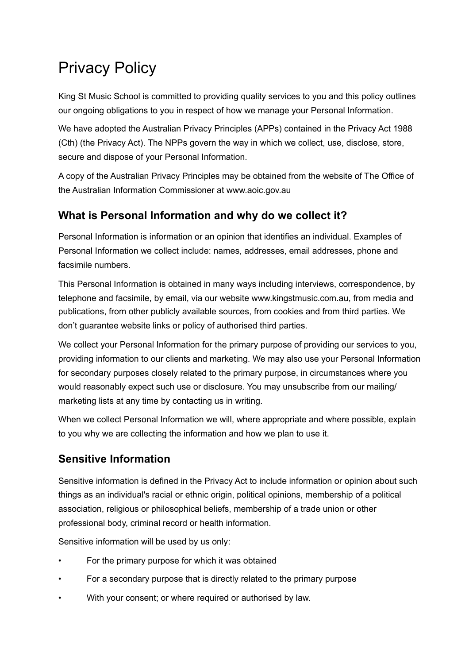# Privacy Policy

King St Music School is committed to providing quality services to you and this policy outlines our ongoing obligations to you in respect of how we manage your Personal Information.

We have adopted the Australian Privacy Principles (APPs) contained in the Privacy Act 1988 (Cth) (the Privacy Act). The NPPs govern the way in which we collect, use, disclose, store, secure and dispose of your Personal Information.

A copy of the Australian Privacy Principles may be obtained from the website of The Office of the Australian Information Commissioner at www.aoic.gov.au

### **What is Personal Information and why do we collect it?**

Personal Information is information or an opinion that identifies an individual. Examples of Personal Information we collect include: names, addresses, email addresses, phone and facsimile numbers.

This Personal Information is obtained in many ways including interviews, correspondence, by telephone and facsimile, by email, via our website www.kingstmusic.com.au, from media and publications, from other publicly available sources, from cookies and from third parties. We don't guarantee website links or policy of authorised third parties.

We collect your Personal Information for the primary purpose of providing our services to you, providing information to our clients and marketing. We may also use your Personal Information for secondary purposes closely related to the primary purpose, in circumstances where you would reasonably expect such use or disclosure. You may unsubscribe from our mailing/ marketing lists at any time by contacting us in writing.

When we collect Personal Information we will, where appropriate and where possible, explain to you why we are collecting the information and how we plan to use it.

#### **Sensitive Information**

Sensitive information is defined in the Privacy Act to include information or opinion about such things as an individual's racial or ethnic origin, political opinions, membership of a political association, religious or philosophical beliefs, membership of a trade union or other professional body, criminal record or health information.

Sensitive information will be used by us only:

- For the primary purpose for which it was obtained
- For a secondary purpose that is directly related to the primary purpose
- With your consent; or where required or authorised by law.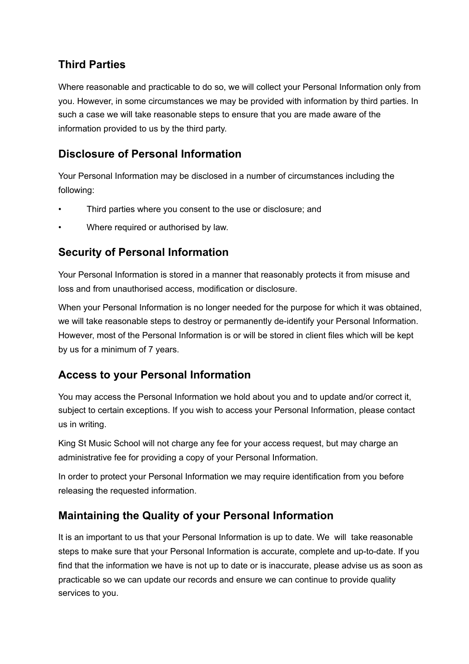# **Third Parties**

Where reasonable and practicable to do so, we will collect your Personal Information only from you. However, in some circumstances we may be provided with information by third parties. In such a case we will take reasonable steps to ensure that you are made aware of the information provided to us by the third party.

#### **Disclosure of Personal Information**

Your Personal Information may be disclosed in a number of circumstances including the following:

- Third parties where you consent to the use or disclosure; and
- Where required or authorised by law.

#### **Security of Personal Information**

Your Personal Information is stored in a manner that reasonably protects it from misuse and loss and from unauthorised access, modification or disclosure.

When your Personal Information is no longer needed for the purpose for which it was obtained, we will take reasonable steps to destroy or permanently de-identify your Personal Information. However, most of the Personal Information is or will be stored in client files which will be kept by us for a minimum of 7 years.

#### **Access to your Personal Information**

You may access the Personal Information we hold about you and to update and/or correct it, subject to certain exceptions. If you wish to access your Personal Information, please contact us in writing.

King St Music School will not charge any fee for your access request, but may charge an administrative fee for providing a copy of your Personal Information.

In order to protect your Personal Information we may require identification from you before releasing the requested information.

#### **Maintaining the Quality of your Personal Information**

It is an important to us that your Personal Information is up to date. We will take reasonable steps to make sure that your Personal Information is accurate, complete and up-to-date. If you find that the information we have is not up to date or is inaccurate, please advise us as soon as practicable so we can update our records and ensure we can continue to provide quality services to you.